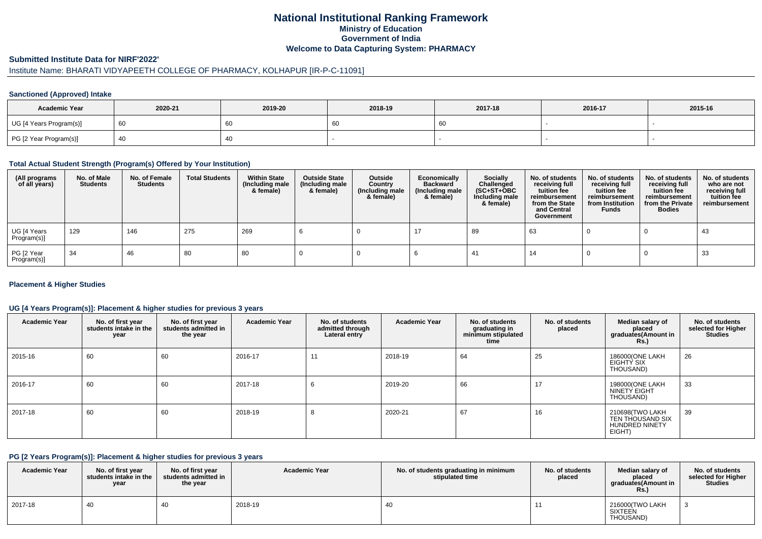## **National Institutional Ranking FrameworkMinistry of Education Government of IndiaWelcome to Data Capturing System: PHARMACY**

#### **Submitted Institute Data for NIRF'2022'**

# Institute Name: BHARATI VIDYAPEETH COLLEGE OF PHARMACY, KOLHAPUR [IR-P-C-11091]

#### **Sanctioned (Approved) Intake**

| <b>Academic Year</b>    | 2020-21 | 2019-20 | 2018-19 | 2017-18 | 2016-17 | 2015-16 |
|-------------------------|---------|---------|---------|---------|---------|---------|
| UG [4 Years Program(s)] |         | 60      | 60      |         |         |         |
| PG [2 Year Program(s)]  |         | 40      |         |         |         |         |

#### **Total Actual Student Strength (Program(s) Offered by Your Institution)**

| (All programs<br>of all years) | No. of Male<br><b>Students</b> | No. of Female<br>Students | <b>Total Students</b> | <b>Within State</b><br>(Including male<br>& female) | <b>Outside State</b><br>(Including male<br>& female) | Outside<br>Country<br>(Including male<br>& female) | Economically<br><b>Backward</b><br>(Including male<br>& female) | <b>Socially</b><br>Challenged<br>$(SC+ST+OBC)$<br>Including male<br>& female) | No. of students<br>receiving full<br>tuition fee<br>reimbursement<br>from the State<br>and Central<br>Government | No. of students<br>receiving full<br>tuition fee<br>reimbursement<br>from Institution<br><b>Funds</b> | No. of students<br>receiving full<br>tuition fee<br>reimbursement<br>from the Private<br><b>Bodies</b> | No. of students<br>who are not<br>receiving full<br>tuition fee<br>reimbursement |
|--------------------------------|--------------------------------|---------------------------|-----------------------|-----------------------------------------------------|------------------------------------------------------|----------------------------------------------------|-----------------------------------------------------------------|-------------------------------------------------------------------------------|------------------------------------------------------------------------------------------------------------------|-------------------------------------------------------------------------------------------------------|--------------------------------------------------------------------------------------------------------|----------------------------------------------------------------------------------|
| UG [4 Years<br>Program(s)]     | 129                            | 146                       | 275                   | 269                                                 |                                                      |                                                    |                                                                 | 89                                                                            | 63                                                                                                               |                                                                                                       |                                                                                                        | 43                                                                               |
| PG [2 Year<br>Program(s)]      | 34                             | 46                        | 80                    | 80                                                  |                                                      |                                                    |                                                                 | -41                                                                           | 14                                                                                                               |                                                                                                       |                                                                                                        | 33                                                                               |

#### **Placement & Higher Studies**

#### **UG [4 Years Program(s)]: Placement & higher studies for previous 3 years**

| <b>Academic Year</b> | No. of first year<br>students intake in the<br>year | No. of first year<br>students admitted in<br>the year | <b>Academic Year</b> | No. of students<br>admitted through<br>Lateral entry | <b>Academic Year</b> | No. of students<br>graduating in<br>minimum stipulated<br>time | No. of students<br>placed | Median salary of<br>placed<br>graduates(Amount in<br><b>Rs.</b> )      | No. of students<br>selected for Higher<br><b>Studies</b> |
|----------------------|-----------------------------------------------------|-------------------------------------------------------|----------------------|------------------------------------------------------|----------------------|----------------------------------------------------------------|---------------------------|------------------------------------------------------------------------|----------------------------------------------------------|
| 2015-16              | 60                                                  | 60                                                    | 2016-17              | 11                                                   | 2018-19              | 64                                                             | 25                        | 186000(ONE LAKH<br>EIGHTY SIX<br>THOUSAND)                             | 26                                                       |
| 2016-17              | 60                                                  | 60                                                    | 2017-18              | O                                                    | 2019-20              | 66                                                             | 17                        | 198000(ONE LAKH<br>NINETY EIGHT<br>THOUSAND)                           | 33                                                       |
| 2017-18              | 60                                                  | 60                                                    | 2018-19              | $\circ$                                              | 2020-21              | 67                                                             | 16                        | 210698(TWO LAKH<br>TEN THOUSAND SIX<br><b>HUNDRED NINETY</b><br>EIGHT) | 39                                                       |

### **PG [2 Years Program(s)]: Placement & higher studies for previous 3 years**

| <b>Academic Year</b> | No. of first year<br>students intake in the<br>year | No. of first year<br>students admitted in<br>the year | <b>Academic Year</b> | No. of students graduating in minimum<br>stipulated time | No. of students<br>placed | Median salary of<br>placed<br>araduates(Amount in<br><b>Rs.)</b> | No. of students<br>selected for Higher<br><b>Studies</b> |
|----------------------|-----------------------------------------------------|-------------------------------------------------------|----------------------|----------------------------------------------------------|---------------------------|------------------------------------------------------------------|----------------------------------------------------------|
| 2017-18              | 40                                                  |                                                       | 2018-19              | 40                                                       |                           | 216000(TWO LAKH<br>SIXTEEN<br>THOUSAND)                          |                                                          |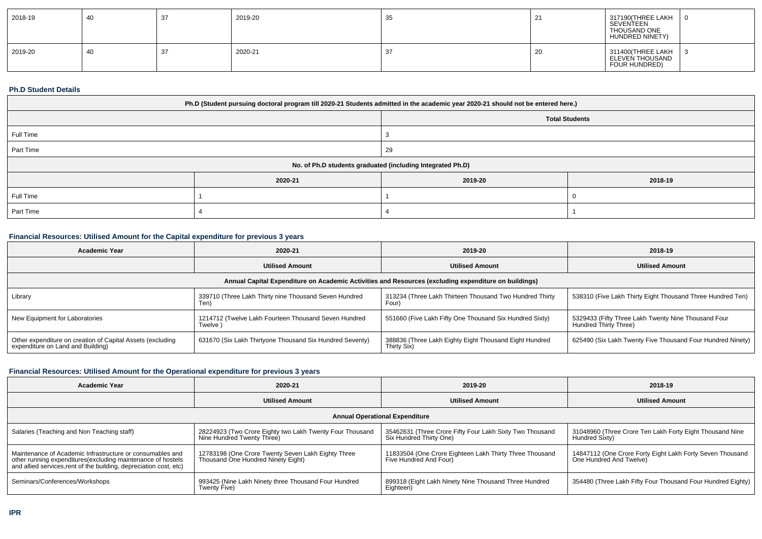| 2018-19 | -40 | 37 | 2019-20 | -35 |    | 317190(THREE LAKH<br>SEVENTEEN<br>THOUSAND ONE<br>HUNDRED NINETY) |     |
|---------|-----|----|---------|-----|----|-------------------------------------------------------------------|-----|
| 2019-20 | -40 | 37 | 2020-21 |     | zu | 311400(THREE LAKH<br>ELEVEN THOUSAND<br>FOUR HUNDRED)             | l 3 |

### **Ph.D Student Details**

| Ph.D (Student pursuing doctoral program till 2020-21 Students admitted in the academic year 2020-21 should not be entered here.) |         |                                                            |         |  |
|----------------------------------------------------------------------------------------------------------------------------------|---------|------------------------------------------------------------|---------|--|
|                                                                                                                                  |         | <b>Total Students</b>                                      |         |  |
| Full Time                                                                                                                        |         |                                                            |         |  |
| Part Time                                                                                                                        |         | 29                                                         |         |  |
|                                                                                                                                  |         | No. of Ph.D students graduated (including Integrated Ph.D) |         |  |
|                                                                                                                                  | 2020-21 | 2019-20                                                    | 2018-19 |  |
| Full Time                                                                                                                        |         |                                                            |         |  |
| Part Time                                                                                                                        |         |                                                            |         |  |

## **Financial Resources: Utilised Amount for the Capital expenditure for previous 3 years**

| <b>Academic Year</b>                                                                                 | 2020-21                                                         | 2019-20                                                               | 2018-19                                                                      |  |  |  |  |
|------------------------------------------------------------------------------------------------------|-----------------------------------------------------------------|-----------------------------------------------------------------------|------------------------------------------------------------------------------|--|--|--|--|
|                                                                                                      | <b>Utilised Amount</b>                                          | <b>Utilised Amount</b>                                                | <b>Utilised Amount</b>                                                       |  |  |  |  |
| Annual Capital Expenditure on Academic Activities and Resources (excluding expenditure on buildings) |                                                                 |                                                                       |                                                                              |  |  |  |  |
| Library                                                                                              | 339710 (Three Lakh Thirty nine Thousand Seven Hundred<br>Ten)   | 313234 (Three Lakh Thirteen Thousand Two Hundred Thirty<br>Four       | 538310 (Five Lakh Thirty Eight Thousand Three Hundred Ten)                   |  |  |  |  |
| New Equipment for Laboratories                                                                       | 1214712 (Twelve Lakh Fourteen Thousand Seven Hundred<br>Twelve) | 551660 (Five Lakh Fifty One Thousand Six Hundred Sixty)               | 5329433 (Fifty Three Lakh Twenty Nine Thousand Four<br>Hundred Thirty Three) |  |  |  |  |
| Other expenditure on creation of Capital Assets (excluding<br>expenditure on Land and Building)      | 631670 (Six Lakh Thirtyone Thousand Six Hundred Seventy)        | 388836 (Three Lakh Eighty Eight Thousand Eight Hundred<br>Thirty Six) | 625490 (Six Lakh Twenty Five Thousand Four Hundred Ninety)                   |  |  |  |  |

#### **Financial Resources: Utilised Amount for the Operational expenditure for previous 3 years**

| <b>Academic Year</b>                                                                                                                                                                            | 2020-21                                                                                  | 2019-20                                                                             | 2018-19                                                                              |  |  |  |  |
|-------------------------------------------------------------------------------------------------------------------------------------------------------------------------------------------------|------------------------------------------------------------------------------------------|-------------------------------------------------------------------------------------|--------------------------------------------------------------------------------------|--|--|--|--|
|                                                                                                                                                                                                 | <b>Utilised Amount</b>                                                                   | <b>Utilised Amount</b>                                                              | <b>Utilised Amount</b>                                                               |  |  |  |  |
| <b>Annual Operational Expenditure</b>                                                                                                                                                           |                                                                                          |                                                                                     |                                                                                      |  |  |  |  |
| Salaries (Teaching and Non Teaching staff)                                                                                                                                                      | 28224923 (Two Crore Eighty two Lakh Twenty Four Thousand<br>Nine Hundred Twenty Three)   | 35462631 (Three Crore Fifty Four Lakh Sixty Two Thousand<br>Six Hundred Thirty One) | 31048960 (Three Crore Ten Lakh Forty Eight Thousand Nine<br>Hundred Sixty)           |  |  |  |  |
| Maintenance of Academic Infrastructure or consumables and<br>other running expenditures (excluding maintenance of hostels<br>and allied services, rent of the building, depreciation cost, etc) | 12783198 (One Crore Twenty Seven Lakh Eighty Three<br>Thousand One Hundred Ninety Eight) | 11833504 (One Crore Eighteen Lakh Thirty Three Thousand<br>Five Hundred And Four)   | 14847112 (One Crore Forty Eight Lakh Forty Seven Thousand<br>One Hundred And Twelve) |  |  |  |  |
| Seminars/Conferences/Workshops                                                                                                                                                                  | 993425 (Nine Lakh Ninety three Thousand Four Hundred<br>Twenty Five)                     | 899318 (Eight Lakh Ninety Nine Thousand Three Hundred<br>Eighteen)                  | 354480 (Three Lakh Fifty Four Thousand Four Hundred Eighty)                          |  |  |  |  |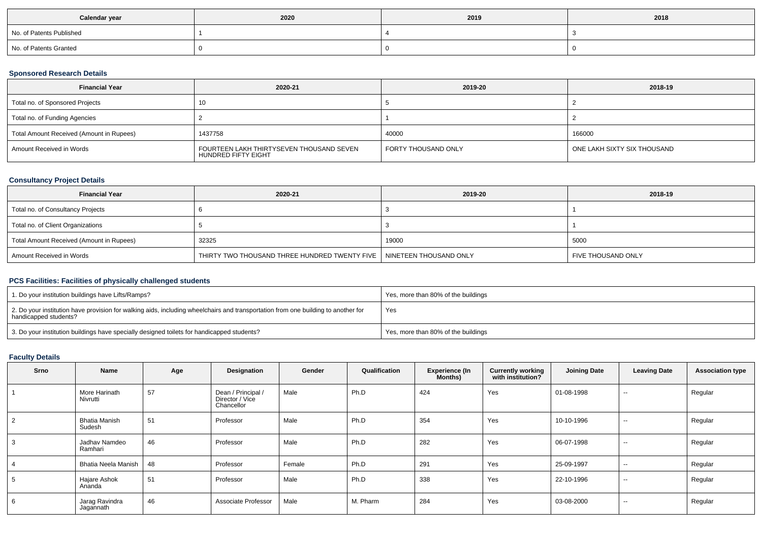| Calendar year            | 2020 | 2019 | 2018 |
|--------------------------|------|------|------|
| No. of Patents Published |      |      |      |
| No. of Patents Granted   |      |      |      |

## **Sponsored Research Details**

| <b>Financial Year</b>                    | 2020-21                                                         | 2019-20             | 2018-19                     |
|------------------------------------------|-----------------------------------------------------------------|---------------------|-----------------------------|
| Total no. of Sponsored Projects          | 10                                                              |                     |                             |
| Total no. of Funding Agencies            |                                                                 |                     |                             |
| Total Amount Received (Amount in Rupees) | 1437758                                                         | 40000               | 166000                      |
| Amount Received in Words                 | FOURTEEN LAKH THIRTYSEVEN THOUSAND SEVEN<br>HUNDRED FIFTY EIGHT | FORTY THOUSAND ONLY | ONE LAKH SIXTY SIX THOUSAND |

## **Consultancy Project Details**

| <b>Financial Year</b>                    | 2020-21                                                                | 2019-20 | 2018-19            |
|------------------------------------------|------------------------------------------------------------------------|---------|--------------------|
| Total no. of Consultancy Projects        |                                                                        |         |                    |
| Total no. of Client Organizations        |                                                                        |         |                    |
| Total Amount Received (Amount in Rupees) | 32325                                                                  | 19000   | 5000               |
| Amount Received in Words                 | THIRTY TWO THOUSAND THREE HUNDRED TWENTY FIVE   NINETEEN THOUSAND ONLY |         | FIVE THOUSAND ONLY |

# **PCS Facilities: Facilities of physically challenged students**

| 1. Do your institution buildings have Lifts/Ramps?                                                                                                         | Yes, more than 80% of the buildings |
|------------------------------------------------------------------------------------------------------------------------------------------------------------|-------------------------------------|
| 2. Do your institution have provision for walking aids, including wheelchairs and transportation from one building to another for<br>handicapped students? | Yes                                 |
| 3. Do your institution buildings have specially designed toilets for handicapped students?                                                                 | Yes, more than 80% of the buildings |

# **Faculty Details**

| Srno | Name                           | Age | Designation                                         | Gender | Qualification | <b>Experience (In</b><br>Months) | <b>Currently working</b><br>with institution? | <b>Joining Date</b> | <b>Leaving Date</b> | <b>Association type</b> |
|------|--------------------------------|-----|-----------------------------------------------------|--------|---------------|----------------------------------|-----------------------------------------------|---------------------|---------------------|-------------------------|
|      | More Harinath<br>Nivrutti      | 157 | Dean / Principal /<br>Director / Vice<br>Chancellor | Male   | Ph.D          | 424                              | Yes                                           | 01-08-1998          | $\sim$              | Regular                 |
|      | <b>Bhatia Manish</b><br>Sudesh | 51  | Professor                                           | Male   | Ph.D          | 354                              | Yes                                           | 10-10-1996          | $\sim$              | Regular                 |
|      | Jadhav Namdeo<br>Ramhari       | 46  | Professor                                           | Male   | Ph.D          | 282                              | Yes                                           | 06-07-1998          | $\sim$              | Regular                 |
|      | Bhatia Neela Manish            | 48  | Professor                                           | Female | Ph.D          | 291                              | Yes                                           | 25-09-1997          | $\sim$              | Regular                 |
|      | Hajare Ashok<br>Ananda         | 51  | Professor                                           | Male   | Ph.D          | 338                              | Yes                                           | 22-10-1996          | $\sim$              | Regular                 |
|      | Jarag Ravindra<br>Jagannath    | 46  | Associate Professor                                 | Male   | M. Pharm      | 284                              | Yes                                           | 03-08-2000          | $\sim$              | Regular                 |